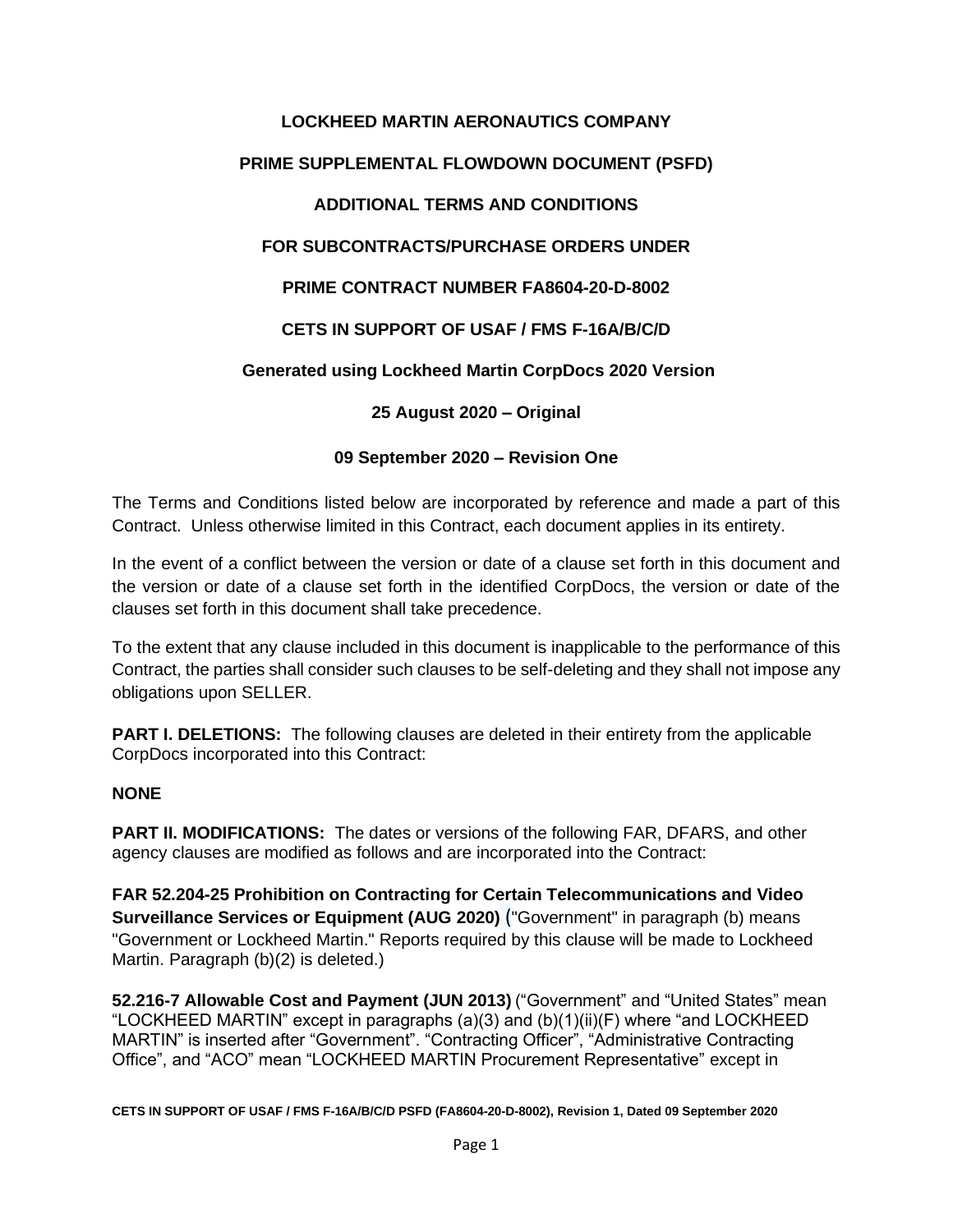# **LOCKHEED MARTIN AERONAUTICS COMPANY**

## **PRIME SUPPLEMENTAL FLOWDOWN DOCUMENT (PSFD)**

## **ADDITIONAL TERMS AND CONDITIONS**

## **FOR SUBCONTRACTS/PURCHASE ORDERS UNDER**

## **PRIME CONTRACT NUMBER FA8604-20-D-8002**

## **CETS IN SUPPORT OF USAF / FMS F-16A/B/C/D**

## **Generated using Lockheed Martin CorpDocs 2020 Version**

## **25 August 2020 – Original**

## **09 September 2020 – Revision One**

The Terms and Conditions listed below are incorporated by reference and made a part of this Contract. Unless otherwise limited in this Contract, each document applies in its entirety.

In the event of a conflict between the version or date of a clause set forth in this document and the version or date of a clause set forth in the identified CorpDocs, the version or date of the clauses set forth in this document shall take precedence.

To the extent that any clause included in this document is inapplicable to the performance of this Contract, the parties shall consider such clauses to be self-deleting and they shall not impose any obligations upon SELLER.

**PART I. DELETIONS:** The following clauses are deleted in their entirety from the applicable CorpDocs incorporated into this Contract:

#### **NONE**

**PART II. MODIFICATIONS:** The dates or versions of the following FAR, DFARS, and other agency clauses are modified as follows and are incorporated into the Contract:

**FAR 52.204-25 Prohibition on Contracting for Certain Telecommunications and Video Surveillance Services or Equipment (AUG 2020)** ("Government" in paragraph (b) means "Government or Lockheed Martin." Reports required by this clause will be made to Lockheed Martin. Paragraph (b)(2) is deleted.)

**52.216-7 Allowable Cost and Payment (JUN 2013)** ("Government" and "United States" mean "LOCKHEED MARTIN" except in paragraphs (a)(3) and (b)(1)(ii)(F) where "and LOCKHEED MARTIN" is inserted after "Government". "Contracting Officer", "Administrative Contracting Office", and "ACO" mean "LOCKHEED MARTIN Procurement Representative" except in

**CETS IN SUPPORT OF USAF / FMS F-16A/B/C/D PSFD (FA8604-20-D-8002), Revision 1, Dated 09 September 2020**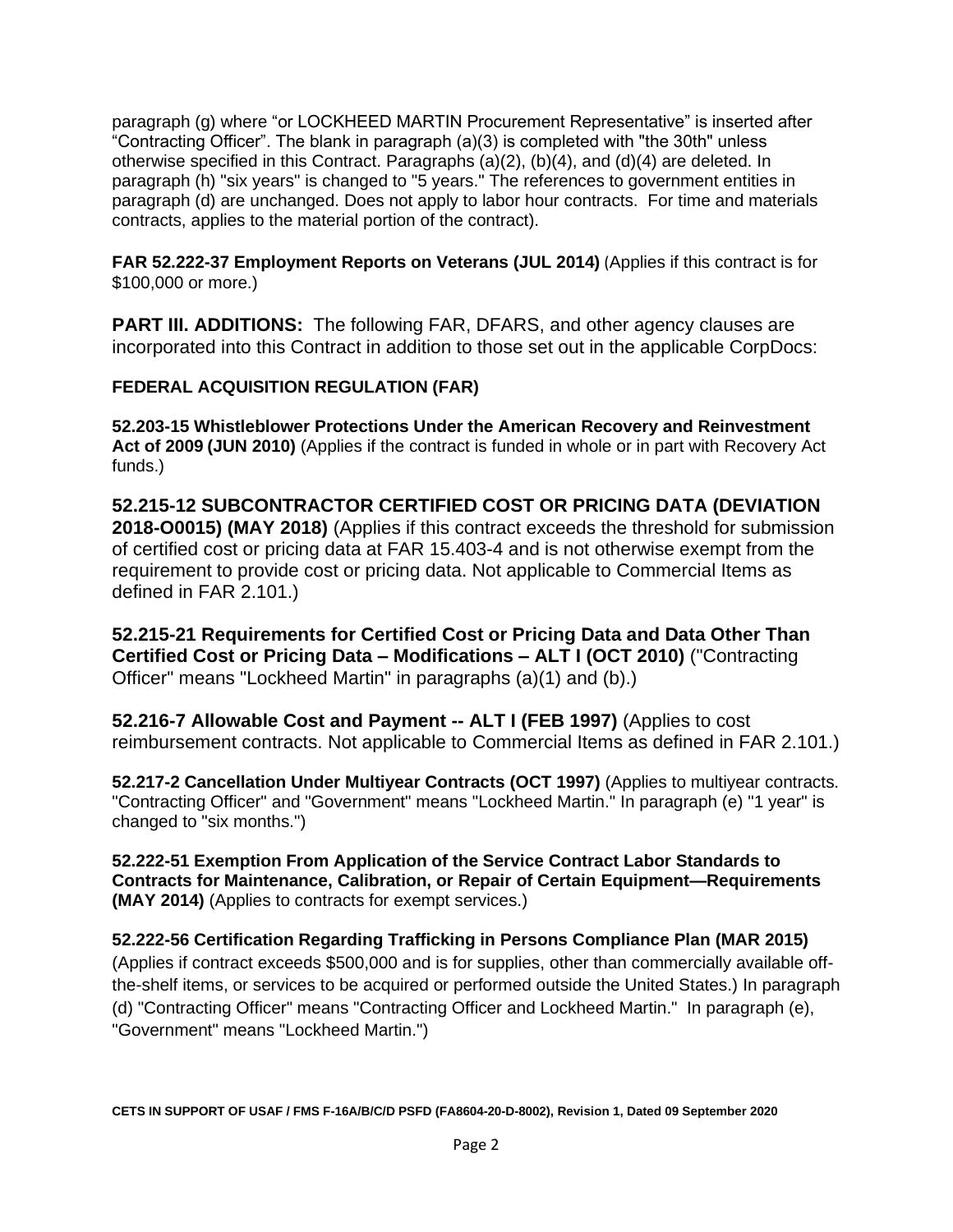paragraph (g) where "or LOCKHEED MARTIN Procurement Representative" is inserted after "Contracting Officer". The blank in paragraph (a)(3) is completed with "the 30th" unless otherwise specified in this Contract. Paragraphs (a)(2), (b)(4), and (d)(4) are deleted. In paragraph (h) "six years" is changed to "5 years." The references to government entities in paragraph (d) are unchanged. Does not apply to labor hour contracts. For time and materials contracts, applies to the material portion of the contract).

**FAR 52.222-37 Employment Reports on Veterans (JUL 2014)** (Applies if this contract is for \$100,000 or more.)

**PART III. ADDITIONS:** The following FAR, DFARS, and other agency clauses are incorporated into this Contract in addition to those set out in the applicable CorpDocs:

## **FEDERAL ACQUISITION REGULATION (FAR)**

**52.203-15 Whistleblower Protections Under the American Recovery and Reinvestment Act of 2009 (JUN 2010)** (Applies if the contract is funded in whole or in part with Recovery Act funds.)

**52.215-12 SUBCONTRACTOR CERTIFIED COST OR PRICING DATA (DEVIATION 2018-O0015) (MAY 2018)** (Applies if this contract exceeds the threshold for submission of certified cost or pricing data at FAR 15.403-4 and is not otherwise exempt from the requirement to provide cost or pricing data. Not applicable to Commercial Items as defined in FAR 2.101.)

**52.215-21 Requirements for Certified Cost or Pricing Data and Data Other Than Certified Cost or Pricing Data – Modifications – ALT I (OCT 2010)** ("Contracting Officer" means "Lockheed Martin" in paragraphs (a)(1) and (b).)

**52.216-7 Allowable Cost and Payment -- ALT I (FEB 1997)** (Applies to cost reimbursement contracts. Not applicable to Commercial Items as defined in FAR 2.101.)

**52.217-2 Cancellation Under Multiyear Contracts (OCT 1997)** (Applies to multiyear contracts. "Contracting Officer" and "Government" means "Lockheed Martin." In paragraph (e) "1 year" is changed to "six months.")

**52.222-51 Exemption From Application of the Service Contract Labor Standards to Contracts for Maintenance, Calibration, or Repair of Certain Equipment—Requirements (MAY 2014)** (Applies to contracts for exempt services.)

**52.222-56 Certification Regarding Trafficking in Persons Compliance Plan (MAR 2015)** (Applies if contract exceeds \$500,000 and is for supplies, other than commercially available offthe-shelf items, or services to be acquired or performed outside the United States.) In paragraph (d) "Contracting Officer" means "Contracting Officer and Lockheed Martin." In paragraph (e), "Government" means "Lockheed Martin.")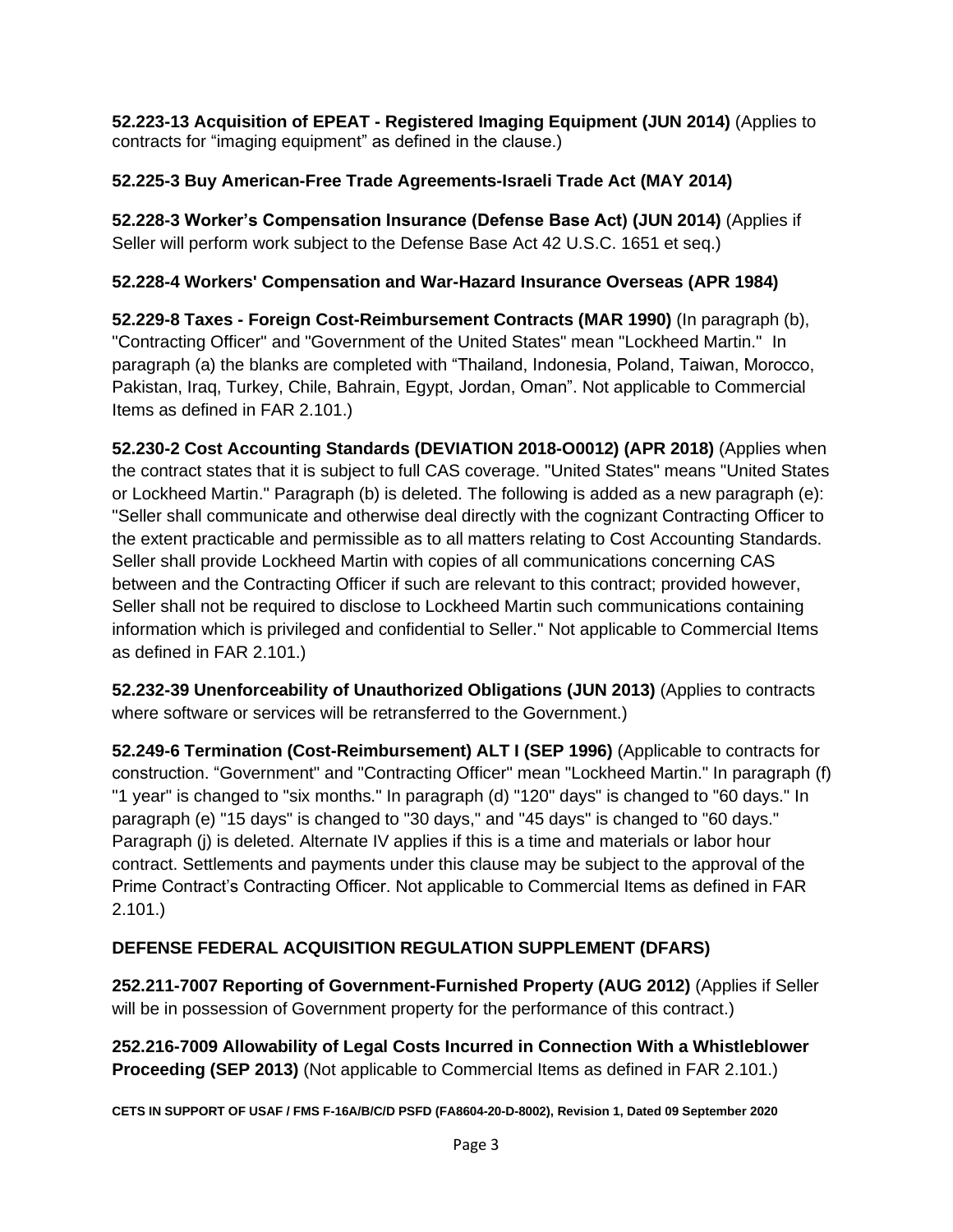**52.223-13 Acquisition of EPEAT - Registered Imaging Equipment (JUN 2014)** (Applies to contracts for "imaging equipment" as defined in the clause.)

# **52.225-3 Buy American-Free Trade Agreements-Israeli Trade Act (MAY 2014)**

**52.228-3 Worker's Compensation Insurance (Defense Base Act) (JUN 2014)** (Applies if Seller will perform work subject to the Defense Base Act 42 U.S.C. 1651 et seq.)

# **52.228-4 Workers' Compensation and War-Hazard Insurance Overseas (APR 1984)**

**52.229-8 Taxes - Foreign Cost-Reimbursement Contracts (MAR 1990)** (In paragraph (b), "Contracting Officer" and "Government of the United States" mean "Lockheed Martin." In paragraph (a) the blanks are completed with "Thailand, Indonesia, Poland, Taiwan, Morocco, Pakistan, Iraq, Turkey, Chile, Bahrain, Egypt, Jordan, Oman". Not applicable to Commercial Items as defined in FAR 2.101.)

**52.230-2 Cost Accounting Standards (DEVIATION 2018-O0012) (APR 2018)** (Applies when the contract states that it is subject to full CAS coverage. "United States" means "United States or Lockheed Martin." Paragraph (b) is deleted. The following is added as a new paragraph (e): "Seller shall communicate and otherwise deal directly with the cognizant Contracting Officer to the extent practicable and permissible as to all matters relating to Cost Accounting Standards. Seller shall provide Lockheed Martin with copies of all communications concerning CAS between and the Contracting Officer if such are relevant to this contract; provided however, Seller shall not be required to disclose to Lockheed Martin such communications containing information which is privileged and confidential to Seller." Not applicable to Commercial Items as defined in FAR 2.101.)

**52.232-39 Unenforceability of Unauthorized Obligations (JUN 2013)** (Applies to contracts where software or services will be retransferred to the Government.)

**52.249-6 Termination (Cost-Reimbursement) ALT I (SEP 1996)** (Applicable to contracts for construction. "Government" and "Contracting Officer" mean "Lockheed Martin." In paragraph (f) "1 year" is changed to "six months." In paragraph (d) "120" days" is changed to "60 days." In paragraph (e) "15 days" is changed to "30 days," and "45 days" is changed to "60 days." Paragraph (j) is deleted. Alternate IV applies if this is a time and materials or labor hour contract. Settlements and payments under this clause may be subject to the approval of the Prime Contract's Contracting Officer. Not applicable to Commercial Items as defined in FAR 2.101.)

# **DEFENSE FEDERAL ACQUISITION REGULATION SUPPLEMENT (DFARS)**

**252.211-7007 Reporting of Government-Furnished Property (AUG 2012)** (Applies if Seller will be in possession of Government property for the performance of this contract.)

**252.216-7009 Allowability of Legal Costs Incurred in Connection With a Whistleblower Proceeding (SEP 2013)** (Not applicable to Commercial Items as defined in FAR 2.101.)

**CETS IN SUPPORT OF USAF / FMS F-16A/B/C/D PSFD (FA8604-20-D-8002), Revision 1, Dated 09 September 2020**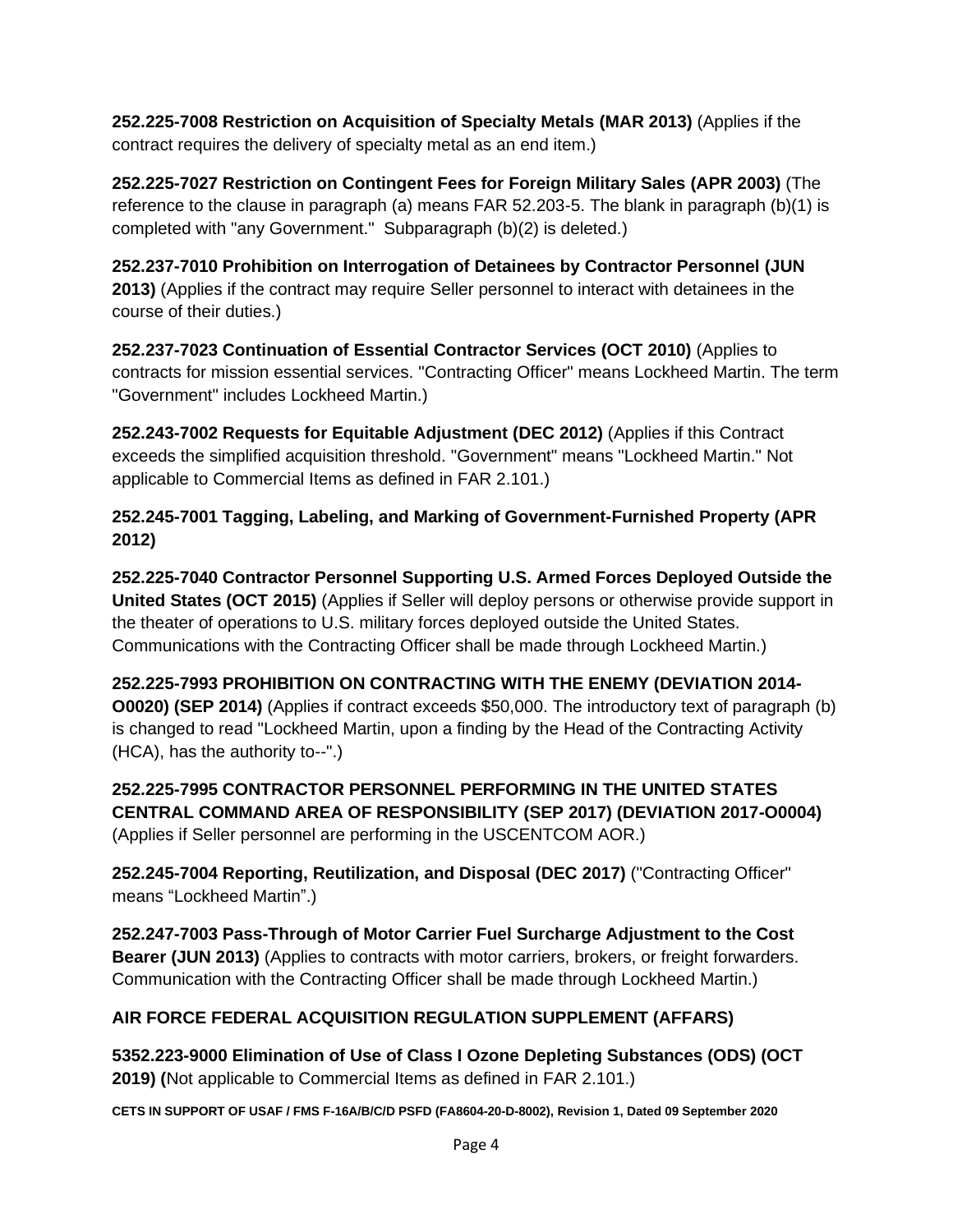**252.225-7008 Restriction on Acquisition of Specialty Metals (MAR 2013)** (Applies if the contract requires the delivery of specialty metal as an end item.)

**252.225-7027 Restriction on Contingent Fees for Foreign Military Sales (APR 2003)** (The reference to the clause in paragraph (a) means FAR 52.203-5. The blank in paragraph (b)(1) is completed with "any Government." Subparagraph (b)(2) is deleted.)

**252.237-7010 Prohibition on Interrogation of Detainees by Contractor Personnel (JUN 2013)** (Applies if the contract may require Seller personnel to interact with detainees in the course of their duties.)

**252.237-7023 Continuation of Essential Contractor Services (OCT 2010)** (Applies to contracts for mission essential services. "Contracting Officer" means Lockheed Martin. The term "Government" includes Lockheed Martin.)

**252.243-7002 Requests for Equitable Adjustment (DEC 2012)** (Applies if this Contract exceeds the simplified acquisition threshold. "Government" means "Lockheed Martin." Not applicable to Commercial Items as defined in FAR 2.101.)

**252.245-7001 Tagging, Labeling, and Marking of Government-Furnished Property (APR 2012)**

**252.225-7040 Contractor Personnel Supporting U.S. Armed Forces Deployed Outside the United States (OCT 2015)** (Applies if Seller will deploy persons or otherwise provide support in the theater of operations to U.S. military forces deployed outside the United States. Communications with the Contracting Officer shall be made through Lockheed Martin.)

**252.225-7993 PROHIBITION ON CONTRACTING WITH THE ENEMY (DEVIATION 2014- O0020) (SEP 2014)** (Applies if contract exceeds \$50,000. The introductory text of paragraph (b) is changed to read "Lockheed Martin, upon a finding by the Head of the Contracting Activity (HCA), has the authority to--".)

**252.225-7995 CONTRACTOR PERSONNEL PERFORMING IN THE UNITED STATES CENTRAL COMMAND AREA OF RESPONSIBILITY (SEP 2017) (DEVIATION 2017-O0004)** (Applies if Seller personnel are performing in the USCENTCOM AOR.)

**252.245-7004 Reporting, Reutilization, and Disposal (DEC 2017)** ("Contracting Officer" means "Lockheed Martin".)

**252.247-7003 Pass-Through of Motor Carrier Fuel Surcharge Adjustment to the Cost Bearer (JUN 2013)** (Applies to contracts with motor carriers, brokers, or freight forwarders. Communication with the Contracting Officer shall be made through Lockheed Martin.)

# **AIR FORCE FEDERAL ACQUISITION REGULATION SUPPLEMENT (AFFARS)**

**5352.223-9000 Elimination of Use of Class I Ozone Depleting Substances (ODS) (OCT 2019) (**Not applicable to Commercial Items as defined in FAR 2.101.)

**CETS IN SUPPORT OF USAF / FMS F-16A/B/C/D PSFD (FA8604-20-D-8002), Revision 1, Dated 09 September 2020**